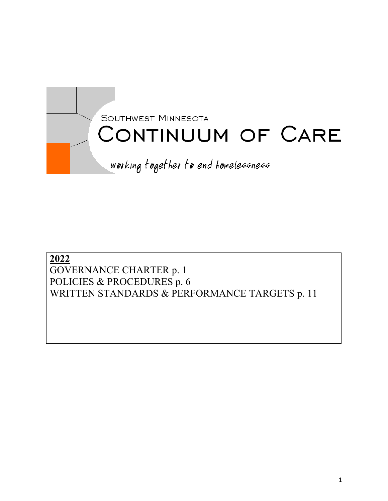

# **2022** GOVERNANCE CHARTER p. 1 POLICIES & PROCEDURES p. 6 WRITTEN STANDARDS & PERFORMANCE TARGETS p. 11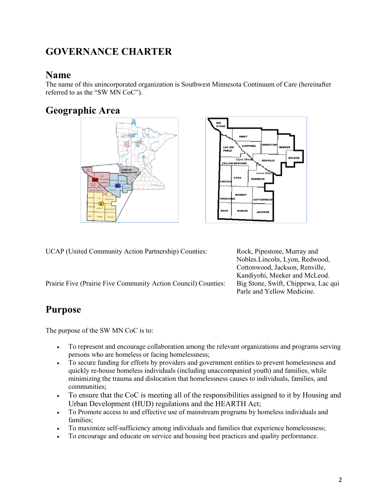# **GOVERNANCE CHARTER**

### **Name**

The name of this unincorporated organization is Southwest Minnesota Continuum of Care (hereinafter referred to as the "SW MN CoC").

# **Geographic Area**





UCAP (United Community Action Partnership) Counties: Rock, Pipestone, Murray and

Prairie Five (Prairie Five Community Action Council) Counties: Big Stone, Swift, Chippewa, Lac qui

# **Purpose**

The purpose of the SW MN CoC is to:

- To represent and encourage collaboration among the relevant organizations and programs serving persons who are homeless or facing homelessness;
- To secure funding for efforts by providers and government entities to prevent homelessness and quickly re-house homeless individuals (including unaccompanied youth) and families, while minimizing the trauma and dislocation that homelessness causes to individuals, families, and communities;
- To ensure that the CoC is meeting all of the responsibilities assigned to it by Housing and Urban Development (HUD) regulations and the HEARTH Act;
- To Promote access to and effective use of mainstream programs by homeless individuals and families;
- To maximize self-sufficiency among individuals and families that experience homelessness;
- To encourage and educate on service and housing best practices and quality performance.

Nobles.Lincoln, Lyon, Redwood, Cottonwood, Jackson, Renville, Kandiyohi, Meeker and McLeod. Parle and Yellow Medicine.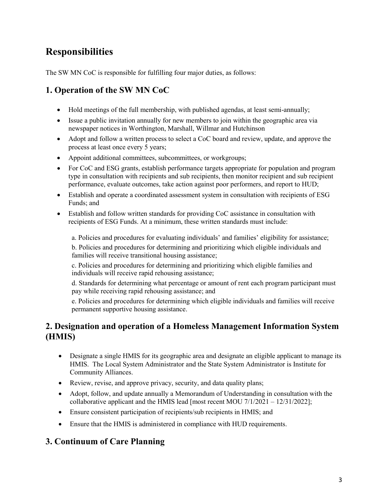# **Responsibilities**

The SW MN CoC is responsible for fulfilling four major duties, as follows:

### **1. Operation of the SW MN CoC**

- Hold meetings of the full membership, with published agendas, at least semi-annually;
- Issue a public invitation annually for new members to join within the geographic area via newspaper notices in Worthington, Marshall, Willmar and Hutchinson
- Adopt and follow a written process to select a CoC board and review, update, and approve the process at least once every 5 years;
- Appoint additional committees, subcommittees, or workgroups;
- For CoC and ESG grants, establish performance targets appropriate for population and program type in consultation with recipients and sub recipients, then monitor recipient and sub recipient performance, evaluate outcomes, take action against poor performers, and report to HUD;
- Establish and operate a coordinated assessment system in consultation with recipients of ESG Funds; and
- Establish and follow written standards for providing CoC assistance in consultation with recipients of ESG Funds. At a minimum, these written standards must include:

a. Policies and procedures for evaluating individuals' and families' eligibility for assistance;

b. Policies and procedures for determining and prioritizing which eligible individuals and families will receive transitional housing assistance;

c. Policies and procedures for determining and prioritizing which eligible families and individuals will receive rapid rehousing assistance;

d. Standards for determining what percentage or amount of rent each program participant must pay while receiving rapid rehousing assistance; and

e. Policies and procedures for determining which eligible individuals and families will receive permanent supportive housing assistance.

### **2. Designation and operation of a Homeless Management Information System (HMIS)**

- Designate a single HMIS for its geographic area and designate an eligible applicant to manage its HMIS. The Local System Administrator and the State System Administrator is Institute for Community Alliances.
- Review, revise, and approve privacy, security, and data quality plans;
- Adopt, follow, and update annually a Memorandum of Understanding in consultation with the collaborative applicant and the HMIS lead [most recent MOU  $7/1/2021 - 12/31/2022$ ];
- Ensure consistent participation of recipients/sub recipients in HMIS; and
- Ensure that the HMIS is administered in compliance with HUD requirements.

#### **3. Continuum of Care Planning**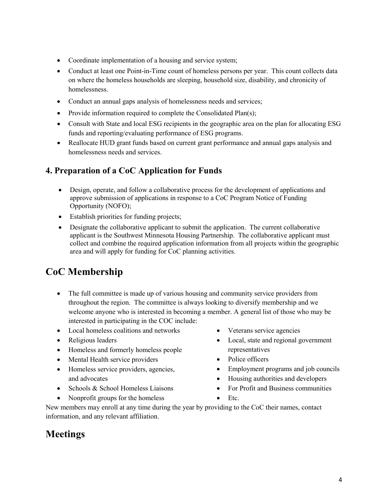- Coordinate implementation of a housing and service system;
- Conduct at least one Point-in-Time count of homeless persons per year. This count collects data on where the homeless households are sleeping, household size, disability, and chronicity of homelessness.
- Conduct an annual gaps analysis of homelessness needs and services;
- Provide information required to complete the Consolidated Plan(s);
- Consult with State and local ESG recipients in the geographic area on the plan for allocating ESG funds and reporting/evaluating performance of ESG programs.
- Reallocate HUD grant funds based on current grant performance and annual gaps analysis and homelessness needs and services.

#### **4. Preparation of a CoC Application for Funds**

- Design, operate, and follow a collaborative process for the development of applications and approve submission of applications in response to a CoC Program Notice of Funding Opportunity (NOFO);
- Establish priorities for funding projects;
- Designate the collaborative applicant to submit the application. The current collaborative applicant is the Southwest Minnesota Housing Partnership. The collaborative applicant must collect and combine the required application information from all projects within the geographic area and will apply for funding for CoC planning activities.

# **CoC Membership**

- The full committee is made up of various housing and community service providers from throughout the region. The committee is always looking to diversify membership and we welcome anyone who is interested in becoming a member. A general list of those who may be interested in participating in the COC include:
- Local homeless coalitions and networks
- Religious leaders
- Homeless and formerly homeless people
- Mental Health service providers
- Homeless service providers, agencies, and advocates
- Schools & School Homeless Liaisons
- Nonprofit groups for the homeless
- Veterans service agencies
- Local, state and regional government representatives
- Police officers
- Employment programs and job councils
- Housing authorities and developers
- For Profit and Business communities
- Etc.

New members may enroll at any time during the year by providing to the CoC their names, contact information, and any relevant affiliation.

# **Meetings**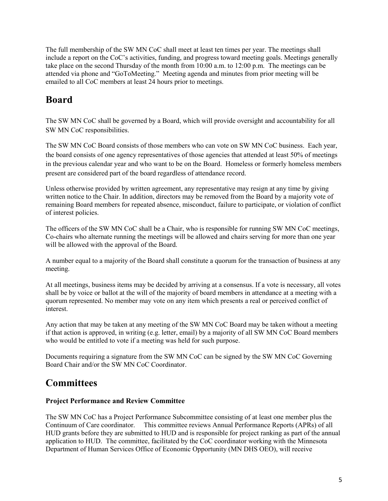The full membership of the SW MN CoC shall meet at least ten times per year. The meetings shall include a report on the CoC's activities, funding, and progress toward meeting goals. Meetings generally take place on the second Thursday of the month from 10:00 a.m. to 12:00 p.m. The meetings can be attended via phone and "GoToMeeting." Meeting agenda and minutes from prior meeting will be emailed to all CoC members at least 24 hours prior to meetings.

# **Board**

The SW MN CoC shall be governed by a Board, which will provide oversight and accountability for all SW MN CoC responsibilities.

The SW MN CoC Board consists of those members who can vote on SW MN CoC business. Each year, the board consists of one agency representatives of those agencies that attended at least 50% of meetings in the previous calendar year and who want to be on the Board. Homeless or formerly homeless members present are considered part of the board regardless of attendance record.

Unless otherwise provided by written agreement, any representative may resign at any time by giving written notice to the Chair. In addition, directors may be removed from the Board by a majority vote of remaining Board members for repeated absence, misconduct, failure to participate, or violation of conflict of interest policies.

The officers of the SW MN CoC shall be a Chair, who is responsible for running SW MN CoC meetings, Co-chairs who alternate running the meetings will be allowed and chairs serving for more than one year will be allowed with the approval of the Board.

A number equal to a majority of the Board shall constitute a quorum for the transaction of business at any meeting.

At all meetings, business items may be decided by arriving at a consensus. If a vote is necessary, all votes shall be by voice or ballot at the will of the majority of board members in attendance at a meeting with a quorum represented. No member may vote on any item which presents a real or perceived conflict of interest.

Any action that may be taken at any meeting of the SW MN CoC Board may be taken without a meeting if that action is approved, in writing (e.g. letter, email) by a majority of all SW MN CoC Board members who would be entitled to vote if a meeting was held for such purpose.

Documents requiring a signature from the SW MN CoC can be signed by the SW MN CoC Governing Board Chair and/or the SW MN CoC Coordinator.

## **Committees**

#### **Project Performance and Review Committee**

The SW MN CoC has a Project Performance Subcommittee consisting of at least one member plus the Continuum of Care coordinator. This committee reviews Annual Performance Reports (APRs) of all HUD grants before they are submitted to HUD and is responsible for project ranking as part of the annual application to HUD. The committee, facilitated by the CoC coordinator working with the Minnesota Department of Human Services Office of Economic Opportunity (MN DHS OEO), will receive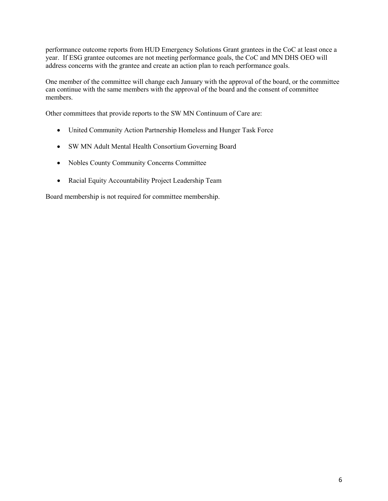performance outcome reports from HUD Emergency Solutions Grant grantees in the CoC at least once a year. If ESG grantee outcomes are not meeting performance goals, the CoC and MN DHS OEO will address concerns with the grantee and create an action plan to reach performance goals.

One member of the committee will change each January with the approval of the board, or the committee can continue with the same members with the approval of the board and the consent of committee members.

Other committees that provide reports to the SW MN Continuum of Care are:

- United Community Action Partnership Homeless and Hunger Task Force
- SW MN Adult Mental Health Consortium Governing Board
- Nobles County Community Concerns Committee
- Racial Equity Accountability Project Leadership Team

Board membership is not required for committee membership.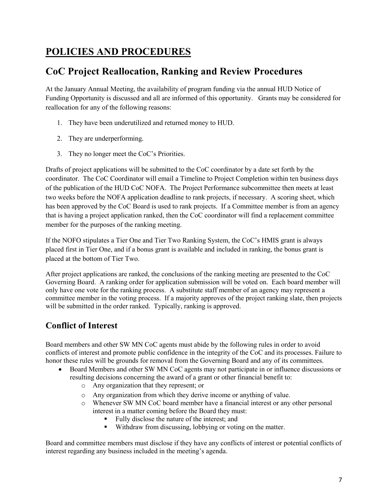# **POLICIES AND PROCEDURES**

## **CoC Project Reallocation, Ranking and Review Procedures**

At the January Annual Meeting, the availability of program funding via the annual HUD Notice of Funding Opportunity is discussed and all are informed of this opportunity. Grants may be considered for reallocation for any of the following reasons:

- 1. They have been underutilized and returned money to HUD.
- 2. They are underperforming.
- 3. They no longer meet the CoC's Priorities.

Drafts of project applications will be submitted to the CoC coordinator by a date set forth by the coordinator. The CoC Coordinator will email a Timeline to Project Completion within ten business days of the publication of the HUD CoC NOFA. The Project Performance subcommittee then meets at least two weeks before the NOFA application deadline to rank projects, if necessary. A scoring sheet, which has been approved by the CoC Board is used to rank projects. If a Committee member is from an agency that is having a project application ranked, then the CoC coordinator will find a replacement committee member for the purposes of the ranking meeting.

If the NOFO stipulates a Tier One and Tier Two Ranking System, the CoC's HMIS grant is always placed first in Tier One, and if a bonus grant is available and included in ranking, the bonus grant is placed at the bottom of Tier Two.

After project applications are ranked, the conclusions of the ranking meeting are presented to the CoC Governing Board. A ranking order for application submission will be voted on. Each board member will only have one vote for the ranking process. A substitute staff member of an agency may represent a committee member in the voting process. If a majority approves of the project ranking slate, then projects will be submitted in the order ranked. Typically, ranking is approved.

#### **Conflict of Interest**

Board members and other SW MN CoC agents must abide by the following rules in order to avoid conflicts of interest and promote public confidence in the integrity of the CoC and its processes. Failure to honor these rules will be grounds for removal from the Governing Board and any of its committees.

- Board Members and other SW MN CoC agents may not participate in or influence discussions or resulting decisions concerning the award of a grant or other financial benefit to:
	- o Any organization that they represent; or
	- o Any organization from which they derive income or anything of value.
	- o Whenever SW MN CoC board member have a financial interest or any other personal interest in a matter coming before the Board they must:
		- Fully disclose the nature of the interest; and
		- Withdraw from discussing, lobbying or voting on the matter.

Board and committee members must disclose if they have any conflicts of interest or potential conflicts of interest regarding any business included in the meeting's agenda.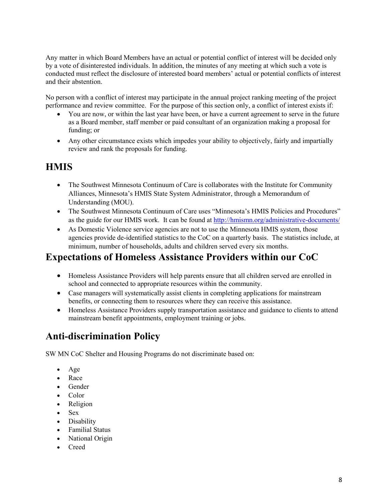Any matter in which Board Members have an actual or potential conflict of interest will be decided only by a vote of disinterested individuals. In addition, the minutes of any meeting at which such a vote is conducted must reflect the disclosure of interested board members' actual or potential conflicts of interest and their abstention.

No person with a conflict of interest may participate in the annual project ranking meeting of the project performance and review committee. For the purpose of this section only, a conflict of interest exists if:

- You are now, or within the last year have been, or have a current agreement to serve in the future as a Board member, staff member or paid consultant of an organization making a proposal for funding; or
- Any other circumstance exists which impedes your ability to objectively, fairly and impartially review and rank the proposals for funding.

### **HMIS**

- The Southwest Minnesota Continuum of Care is collaborates with the Institute for Community Alliances, Minnesota's HMIS State System Administrator, through a Memorandum of Understanding (MOU).
- The Southwest Minnesota Continuum of Care uses "Minnesota's HMIS Policies and Procedures" as the guide for our HMIS work. It can be found at<http://hmismn.org/administrative-documents/>
- As Domestic Violence service agencies are not to use the Minnesota HMIS system, those agencies provide de-identified statistics to the CoC on a quarterly basis. The statistics include, at minimum, number of households, adults and children served every six months.

## **Expectations of Homeless Assistance Providers within our CoC**

- Homeless Assistance Providers will help parents ensure that all children served are enrolled in school and connected to appropriate resources within the community.
- Case managers will systematically assist clients in completing applications for mainstream benefits, or connecting them to resources where they can receive this assistance.
- Homeless Assistance Providers supply transportation assistance and guidance to clients to attend mainstream benefit appointments, employment training or jobs.

# **Anti-discrimination Policy**

SW MN CoC Shelter and Housing Programs do not discriminate based on:

- Age
- Race
- Gender
- Color
- Religion
- Sex
- Disability
- Familial Status
- National Origin
- Creed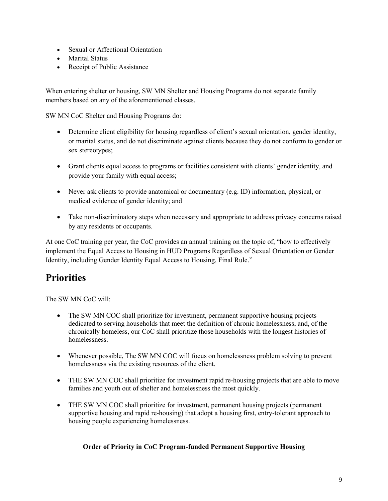- Sexual or Affectional Orientation
- Marital Status
- Receipt of Public Assistance

When entering shelter or housing, SW MN Shelter and Housing Programs do not separate family members based on any of the aforementioned classes.

SW MN CoC Shelter and Housing Programs do:

- Determine client eligibility for housing regardless of client's sexual orientation, gender identity, or marital status, and do not discriminate against clients because they do not conform to gender or sex stereotypes;
- Grant clients equal access to programs or facilities consistent with clients' gender identity, and provide your family with equal access;
- Never ask clients to provide anatomical or documentary (e.g. ID) information, physical, or medical evidence of gender identity; and
- Take non-discriminatory steps when necessary and appropriate to address privacy concerns raised by any residents or occupants.

At one CoC training per year, the CoC provides an annual training on the topic of, "how to effectively implement the Equal Access to Housing in HUD Programs Regardless of Sexual Orientation or Gender Identity, including Gender Identity Equal Access to Housing, Final Rule."

# **Priorities**

The SW MN CoC will:

- The SW MN COC shall prioritize for investment, permanent supportive housing projects dedicated to serving households that meet the definition of chronic homelessness, and, of the chronically homeless, our CoC shall prioritize those households with the longest histories of homelessness.
- Whenever possible, The SW MN COC will focus on homelessness problem solving to prevent homelessness via the existing resources of the client.
- THE SW MN COC shall prioritize for investment rapid re-housing projects that are able to move families and youth out of shelter and homelessness the most quickly.
- THE SW MN COC shall prioritize for investment, permanent housing projects (permanent supportive housing and rapid re-housing) that adopt a housing first, entry-tolerant approach to housing people experiencing homelessness.

#### **Order of Priority in CoC Program-funded Permanent Supportive Housing**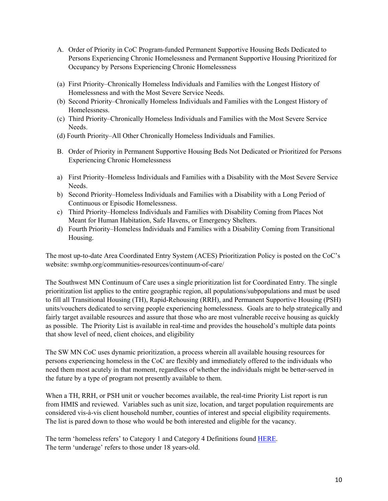- A. Order of Priority in CoC Program-funded Permanent Supportive Housing Beds Dedicated to Persons Experiencing Chronic Homelessness and Permanent Supportive Housing Prioritized for Occupancy by Persons Experiencing Chronic Homelessness
- (a) First Priority–Chronically Homeless Individuals and Families with the Longest History of Homelessness and with the Most Severe Service Needs.
- (b) Second Priority–Chronically Homeless Individuals and Families with the Longest History of Homelessness.
- (c) Third Priority–Chronically Homeless Individuals and Families with the Most Severe Service Needs.
- (d) Fourth Priority–All Other Chronically Homeless Individuals and Families.
- B. Order of Priority in Permanent Supportive Housing Beds Not Dedicated or Prioritized for Persons Experiencing Chronic Homelessness
- a) First Priority–Homeless Individuals and Families with a Disability with the Most Severe Service Needs.
- b) Second Priority–Homeless Individuals and Families with a Disability with a Long Period of Continuous or Episodic Homelessness.
- c) Third Priority–Homeless Individuals and Families with Disability Coming from Places Not Meant for Human Habitation, Safe Havens, or Emergency Shelters.
- d) Fourth Priority–Homeless Individuals and Families with a Disability Coming from Transitional Housing.

The most up-to-date Area Coordinated Entry System (ACES) Prioritization Policy is posted on the CoC's website: swmhp.org/communities-resources/continuum-of-care/

The Southwest MN Continuum of Care uses a single prioritization list for Coordinated Entry. The single prioritization list applies to the entire geographic region, all populations/subpopulations and must be used to fill all Transitional Housing (TH), Rapid-Rehousing (RRH), and Permanent Supportive Housing (PSH) units/vouchers dedicated to serving people experiencing homelessness. Goals are to help strategically and fairly target available resources and assure that those who are most vulnerable receive housing as quickly as possible. The Priority List is available in real-time and provides the household's multiple data points that show level of need, client choices, and eligibility

The SW MN CoC uses dynamic prioritization, a process wherein all available housing resources for persons experiencing homeless in the CoC are flexibly and immediately offered to the individuals who need them most acutely in that moment, regardless of whether the individuals might be better-served in the future by a type of program not presently available to them.

When a TH, RRH, or PSH unit or voucher becomes available, the real-time Priority List report is run from HMIS and reviewed. Variables such as unit size, location, and target population requirements are considered vis-à-vis client household number, counties of interest and special eligibility requirements. The list is pared down to those who would be both interested and eligible for the vacancy.

The term 'homeless refers' to Category 1 and Category 4 Definitions found [HERE.](https://www.hudexchange.info/resources/documents/HomelessDefinition_RecordkeepingRequirementsandCriteria.pdf) The term 'underage' refers to those under 18 years-old.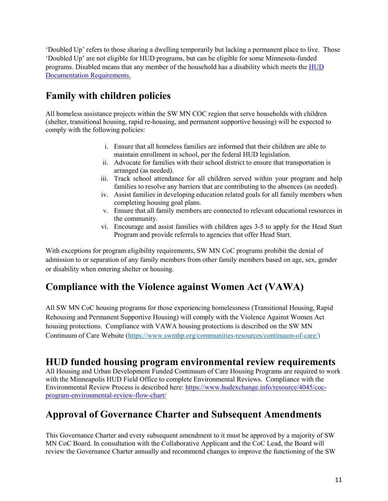'Doubled Up' refers to those sharing a dwelling temporarily but lacking a permanent place to live. Those 'Doubled Up' are not eligible for HUD programs, but can be eligible for some Minnesota-funded programs. Disabled means that any member of the household has a disability which meets the [HUD](https://www.hudexchange.info/faqs/2763/how-must-an-individual-or-head-of-households-qualifying-disability/)  [Documentation Requirements.](https://www.hudexchange.info/faqs/2763/how-must-an-individual-or-head-of-households-qualifying-disability/)

# **Family with children policies**

All homeless assistance projects within the SW MN COC region that serve households with children (shelter, transitional housing, rapid re-housing, and permanent supportive housing) will be expected to comply with the following policies:

- i. Ensure that all homeless families are informed that their children are able to maintain enrollment in school, per the federal HUD legislation.
- ii. Advocate for families with their school district to ensure that transportation is arranged (as needed).
- iii. Track school attendance for all children served within your program and help families to resolve any barriers that are contributing to the absences (as needed).
- iv. Assist families in developing education related goals for all family members when completing housing goal plans.
- v. Ensure that all family members are connected to relevant educational resources in the community.
- vi. Encourage and assist families with children ages 3-5 to apply for the Head Start Program and provide referrals to agencies that offer Head Start.

With exceptions for program eligibility requirements, SW MN CoC programs prohibit the denial of admission to or separation of any family members from other family members based on age, sex, gender or disability when entering shelter or housing.

# **Compliance with the Violence against Women Act (VAWA)**

All SW MN CoC housing programs for those experiencing homelessness (Transitional Housing, Rapid Rehousing and Permanent Supportive Housing) will comply with the Violence Against Women Act housing protections. Compliance with VAWA housing protections is described on the SW MN Continuum of Care Website [\(https://www.swmhp.org/communities-resources/continuum-of-care/\)](https://www.swmhp.org/communities-resources/continuum-of-care/)

## **HUD funded housing program environmental review requirements**

All Housing and Urban Development Funded Continuum of Care Housing Programs are required to work with the Minneapolis HUD Field Office to complete Environmental Reviews. Compliance with the Environmental Review Process is described here: [https://www.hudexchange.info/resource/4045/coc](https://www.hudexchange.info/resource/4045/coc-program-environmental-review-flow-chart/)[program-environmental-review-flow-chart/](https://www.hudexchange.info/resource/4045/coc-program-environmental-review-flow-chart/)

# **Approval of Governance Charter and Subsequent Amendments**

This Governance Charter and every subsequent amendment to it must be approved by a majority of SW MN CoC Board. In consultation with the Collaborative Applicant and the CoC Lead, the Board will review the Governance Charter annually and recommend changes to improve the functioning of the SW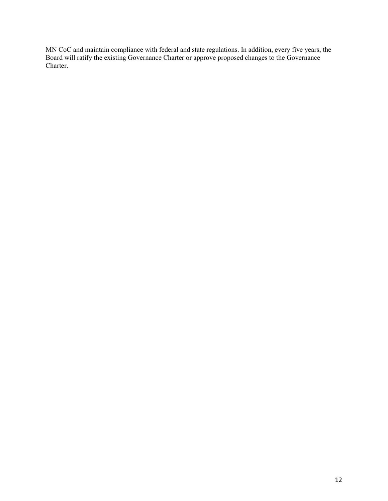MN CoC and maintain compliance with federal and state regulations. In addition, every five years, the Board will ratify the existing Governance Charter or approve proposed changes to the Governance Charter.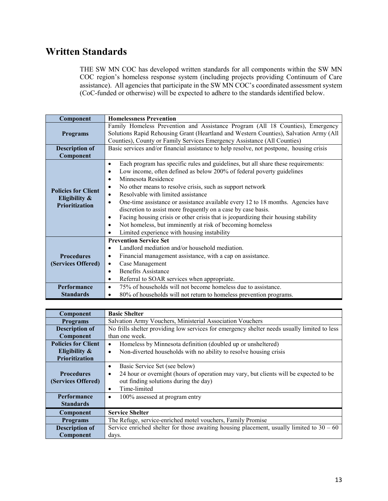# **Written Standards**

THE SW MN COC has developed written standards for all components within the SW MN COC region's homeless response system (including projects providing Continuum of Care assistance). All agencies that participate in the SW MN COC's coordinated assessment system (CoC-funded or otherwise) will be expected to adhere to the standards identified below.

| Component                                                            | <b>Homelessness Prevention</b>                                                                                                                                                                                                                                                                                                                                                                                                                                                                                                                                                                                                                                                                                                              |  |  |
|----------------------------------------------------------------------|---------------------------------------------------------------------------------------------------------------------------------------------------------------------------------------------------------------------------------------------------------------------------------------------------------------------------------------------------------------------------------------------------------------------------------------------------------------------------------------------------------------------------------------------------------------------------------------------------------------------------------------------------------------------------------------------------------------------------------------------|--|--|
| <b>Programs</b>                                                      | Family Homeless Prevention and Assistance Program (All 18 Counties), Emergency<br>Solutions Rapid Rehousing Grant (Heartland and Western Counties), Salvation Army (All<br>Counties), County or Family Services Emergency Assistance (All Counties)                                                                                                                                                                                                                                                                                                                                                                                                                                                                                         |  |  |
| <b>Description of</b>                                                | Basic services and/or financial assistance to help resolve, not postpone, housing crisis                                                                                                                                                                                                                                                                                                                                                                                                                                                                                                                                                                                                                                                    |  |  |
| Component                                                            |                                                                                                                                                                                                                                                                                                                                                                                                                                                                                                                                                                                                                                                                                                                                             |  |  |
| <b>Policies for Client</b><br>Eligibility &<br><b>Prioritization</b> | Each program has specific rules and guidelines, but all share these requirements:<br>$\bullet$<br>Low income, often defined as below 200% of federal poverty guidelines<br>٠<br>Minnesota Residence<br>$\bullet$<br>No other means to resolve crisis, such as support network<br>$\bullet$<br>Resolvable with limited assistance<br>$\bullet$<br>One-time assistance or assistance available every 12 to 18 months. Agencies have<br>$\bullet$<br>discretion to assist more frequently on a case by case basis.<br>Facing housing crisis or other crisis that is jeopardizing their housing stability<br>$\bullet$<br>Not homeless, but imminently at risk of becoming homeless<br>$\bullet$<br>Limited experience with housing instability |  |  |
| <b>Prevention Service Set</b>                                        |                                                                                                                                                                                                                                                                                                                                                                                                                                                                                                                                                                                                                                                                                                                                             |  |  |
|                                                                      | Landlord mediation and/or household mediation.<br>$\bullet$                                                                                                                                                                                                                                                                                                                                                                                                                                                                                                                                                                                                                                                                                 |  |  |
| <b>Procedures</b>                                                    | Financial management assistance, with a cap on assistance.<br>$\bullet$                                                                                                                                                                                                                                                                                                                                                                                                                                                                                                                                                                                                                                                                     |  |  |
| (Services Offered)                                                   | Case Management<br>$\bullet$                                                                                                                                                                                                                                                                                                                                                                                                                                                                                                                                                                                                                                                                                                                |  |  |
|                                                                      | <b>Benefits Assistance</b><br>$\bullet$                                                                                                                                                                                                                                                                                                                                                                                                                                                                                                                                                                                                                                                                                                     |  |  |
|                                                                      | Referral to SOAR services when appropriate.<br>٠                                                                                                                                                                                                                                                                                                                                                                                                                                                                                                                                                                                                                                                                                            |  |  |
| Performance                                                          | 75% of households will not become homeless due to assistance.<br>$\bullet$                                                                                                                                                                                                                                                                                                                                                                                                                                                                                                                                                                                                                                                                  |  |  |
| <b>Standards</b>                                                     | 80% of households will not return to homeless prevention programs.<br>٠                                                                                                                                                                                                                                                                                                                                                                                                                                                                                                                                                                                                                                                                     |  |  |

| Component                                                   | <b>Basic Shelter</b>                                                                               |  |  |
|-------------------------------------------------------------|----------------------------------------------------------------------------------------------------|--|--|
| <b>Programs</b>                                             | Salvation Army Vouchers, Ministerial Association Vouchers                                          |  |  |
| <b>Description of</b>                                       | No frills shelter providing low services for emergency shelter needs usually limited to less       |  |  |
| Component                                                   | than one week.                                                                                     |  |  |
| <b>Policies for Client</b>                                  | Homeless by Minnesota definition (doubled up or unsheltered)<br>٠                                  |  |  |
| Eligibility $\&$                                            | Non-diverted households with no ability to resolve housing crisis<br>$\bullet$                     |  |  |
| Prioritization                                              |                                                                                                    |  |  |
| Basic Service Set (see below)<br>٠                          |                                                                                                    |  |  |
| <b>Procedures</b>                                           | 24 hour or overnight (hours of operation may vary, but clients will be expected to be<br>$\bullet$ |  |  |
| (Services Offered)<br>out finding solutions during the day) |                                                                                                    |  |  |
|                                                             | Time-limited<br>٠                                                                                  |  |  |
| <b>Performance</b>                                          | 100% assessed at program entry<br>٠                                                                |  |  |
| <b>Standards</b>                                            |                                                                                                    |  |  |
| Component                                                   | <b>Service Shelter</b>                                                                             |  |  |
| <b>Programs</b>                                             | The Refuge, service-enriched motel vouchers, Family Promise                                        |  |  |
| <b>Description of</b>                                       | Service enriched shelter for those awaiting housing placement, usually limited to $30 - 60$        |  |  |
| Component                                                   | days.                                                                                              |  |  |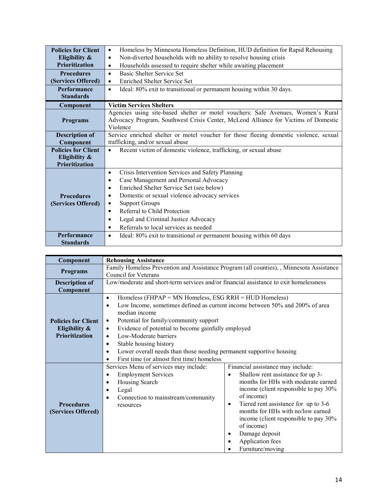| <b>Policies for Client</b>                                                                            | Homeless by Minnesota Homeless Definition, HUD definition for Rapid Rehousing<br>$\bullet$ |  |  |
|-------------------------------------------------------------------------------------------------------|--------------------------------------------------------------------------------------------|--|--|
| Eligibility $\&$                                                                                      | Non-diverted households with no ability to resolve housing crisis<br>$\bullet$             |  |  |
| <b>Prioritization</b>                                                                                 | Households assessed to require shelter while awaiting placement<br>$\bullet$               |  |  |
| <b>Procedures</b>                                                                                     | Basic Shelter Service Set<br>$\bullet$                                                     |  |  |
| (Services Offered)                                                                                    | <b>Enriched Shelter Service Set</b><br>$\bullet$                                           |  |  |
| Performance                                                                                           | Ideal: 80% exit to transitional or permanent housing within 30 days.<br>$\bullet$          |  |  |
| <b>Standards</b>                                                                                      |                                                                                            |  |  |
| Component                                                                                             | <b>Victim Services Shelters</b>                                                            |  |  |
|                                                                                                       | Agencies using site-based shelter or motel vouchers: Safe Avenues, Women's Rural           |  |  |
| Advocacy Program, Southwest Crisis Center, McLeod Alliance for Victims of Domestic<br><b>Programs</b> |                                                                                            |  |  |
| Violence                                                                                              |                                                                                            |  |  |
| <b>Description of</b>                                                                                 | Service enriched shelter or motel voucher for those fleeing domestic violence, sexual      |  |  |
| Component                                                                                             | trafficking, and/or sexual abuse                                                           |  |  |
| <b>Policies for Client</b>                                                                            | Recent victim of domestic violence, trafficking, or sexual abuse<br>$\bullet$              |  |  |
| Eligibility $\&$                                                                                      |                                                                                            |  |  |
| <b>Prioritization</b>                                                                                 |                                                                                            |  |  |
|                                                                                                       | Crisis Intervention Services and Safety Planning<br>$\bullet$                              |  |  |
|                                                                                                       | Case Management and Personal Advocacy<br>٠                                                 |  |  |
|                                                                                                       | Enriched Shelter Service Set (see below)<br>$\bullet$                                      |  |  |
| Domestic or sexual violence advocacy services<br><b>Procedures</b><br>$\bullet$                       |                                                                                            |  |  |
| (Services Offered)                                                                                    | <b>Support Groups</b><br>٠                                                                 |  |  |
|                                                                                                       | Referral to Child Protection<br>$\bullet$                                                  |  |  |
|                                                                                                       | Legal and Criminal Justice Advocacy<br>٠                                                   |  |  |
|                                                                                                       | Referrals to local services as needed<br>٠                                                 |  |  |
| <b>Performance</b>                                                                                    | Ideal: 80% exit to transitional or permanent housing within 60 days<br>$\bullet$           |  |  |
| <b>Standards</b>                                                                                      |                                                                                            |  |  |

| Component                  | <b>Rehousing Assistance</b>                                                               |                                                   |  |
|----------------------------|-------------------------------------------------------------------------------------------|---------------------------------------------------|--|
|                            | Family Homeless Prevention and Assistance Program (all counties), , Minnesota Assistance  |                                                   |  |
| <b>Programs</b>            | Council for Veterans                                                                      |                                                   |  |
| <b>Description of</b>      | Low/moderate and short-term services and/or financial assistance to exit homelessness     |                                                   |  |
| Component                  |                                                                                           |                                                   |  |
|                            | Homeless ( $FHPAP = MN$ Homeless, ESG RRH = HUD Homeless)<br>$\bullet$                    |                                                   |  |
|                            | Low Income, sometimes defined as current income between 50% and 200% of area<br>$\bullet$ |                                                   |  |
|                            | median income                                                                             |                                                   |  |
| <b>Policies for Client</b> | Potential for family/community support<br>٠                                               |                                                   |  |
| Eligibility &              | Evidence of potential to become gainfully employed<br>٠                                   |                                                   |  |
| Prioritization             | Low-Moderate barriers<br>$\bullet$                                                        |                                                   |  |
|                            | Stable housing history<br>٠                                                               |                                                   |  |
|                            | Lower overall needs than those needing permanent supportive housing<br>٠                  |                                                   |  |
|                            | First time (or almost first time) homeless                                                |                                                   |  |
|                            | Services Menu of services may include:                                                    | Financial assistance may include:                 |  |
|                            | <b>Employment Services</b><br>$\bullet$                                                   | Shallow rent assistance for up 3-<br>$\bullet$    |  |
|                            | Housing Search<br>٠                                                                       | months for HHs with moderate earned               |  |
|                            | Legal                                                                                     | income (client responsible to pay 30%             |  |
|                            | Connection to mainstream/community                                                        | of income)                                        |  |
| <b>Procedures</b>          | resources                                                                                 | Tiered rent assistance for up to 3-6<br>$\bullet$ |  |
| (Services Offered)         |                                                                                           | months for HHs with no/low earned                 |  |
|                            |                                                                                           | income (client responsible to pay 30%             |  |
|                            |                                                                                           | of income)                                        |  |
|                            |                                                                                           | Damage deposit<br>٠                               |  |
|                            |                                                                                           | Application fees<br>٠                             |  |
|                            |                                                                                           | Furniture/moving                                  |  |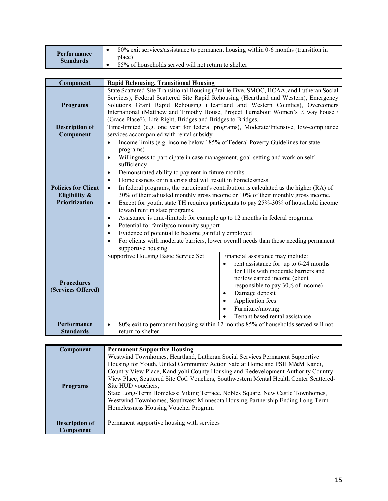| Performance      | 80% exit services/assistance to permanent housing within 0-6 months (transition in |
|------------------|------------------------------------------------------------------------------------|
| <b>Standards</b> | place)                                                                             |
|                  | 85% of households served will not return to shelter                                |

| Component                                                            | <b>Rapid Rehousing, Transitional Housing</b>                                                                                                                                                                                                                                                                                                                                                                                                                                                                                                                                                                                                                                                                                                                                                                                                                                                                                                                                                                                                             |  |  |
|----------------------------------------------------------------------|----------------------------------------------------------------------------------------------------------------------------------------------------------------------------------------------------------------------------------------------------------------------------------------------------------------------------------------------------------------------------------------------------------------------------------------------------------------------------------------------------------------------------------------------------------------------------------------------------------------------------------------------------------------------------------------------------------------------------------------------------------------------------------------------------------------------------------------------------------------------------------------------------------------------------------------------------------------------------------------------------------------------------------------------------------|--|--|
| <b>Programs</b>                                                      | State Scattered Site Transitional Housing (Prairie Five, SMOC, HCAA, and Lutheran Social<br>Services), Federal Scattered Site Rapid Rehousing (Heartland and Western), Emergency<br>Solutions Grant Rapid Rehousing (Heartland and Western Counties), Overcomers<br>International (Matthew and Timothy House, Project Turnabout Women's 1/2 way house /<br>(Grace Place?), Life Right, Bridges and Bridges to Bridges,                                                                                                                                                                                                                                                                                                                                                                                                                                                                                                                                                                                                                                   |  |  |
| <b>Description of</b>                                                | Time-limited (e.g. one year for federal programs), Moderate/Intensive, low-compliance                                                                                                                                                                                                                                                                                                                                                                                                                                                                                                                                                                                                                                                                                                                                                                                                                                                                                                                                                                    |  |  |
| Component                                                            | services accompanied with rental subsidy                                                                                                                                                                                                                                                                                                                                                                                                                                                                                                                                                                                                                                                                                                                                                                                                                                                                                                                                                                                                                 |  |  |
| <b>Policies for Client</b><br>Eligibility &<br><b>Prioritization</b> | Income limits (e.g. income below 185% of Federal Poverty Guidelines for state<br>$\bullet$<br>programs)<br>Willingness to participate in case management, goal-setting and work on self-<br>$\bullet$<br>sufficiency<br>Demonstrated ability to pay rent in future months<br>$\bullet$<br>Homelessness or in a crisis that will result in homelessness<br>$\bullet$<br>In federal programs, the participant's contribution is calculated as the higher (RA) of<br>$\bullet$<br>30% of their adjusted monthly gross income or 10% of their monthly gross income.<br>Except for youth, state TH requires participants to pay 25%-30% of household income<br>$\bullet$<br>toward rent in state programs.<br>Assistance is time-limited: for example up to 12 months in federal programs.<br>$\bullet$<br>Potential for family/community support<br>$\bullet$<br>Evidence of potential to become gainfully employed<br>$\bullet$<br>For clients with moderate barriers, lower overall needs than those needing permanent<br>$\bullet$<br>supportive housing. |  |  |
| <b>Procedures</b><br>(Services Offered)                              | Supportive Housing Basic Service Set<br>Financial assistance may include:<br>rent assistance for up to 6-24 months<br>$\bullet$<br>for HHs with moderate barriers and<br>no/low earned income (client<br>responsible to pay 30% of income)<br>Damage deposit<br>$\bullet$<br>Application fees<br>Furniture/moving<br>Tenant based rental assistance                                                                                                                                                                                                                                                                                                                                                                                                                                                                                                                                                                                                                                                                                                      |  |  |
| Performance                                                          | 80% exit to permanent housing within 12 months 85% of households served will not<br>$\bullet$                                                                                                                                                                                                                                                                                                                                                                                                                                                                                                                                                                                                                                                                                                                                                                                                                                                                                                                                                            |  |  |
| <b>Standards</b>                                                     | return to shelter                                                                                                                                                                                                                                                                                                                                                                                                                                                                                                                                                                                                                                                                                                                                                                                                                                                                                                                                                                                                                                        |  |  |

| <b>Component</b>      | <b>Permanent Supportive Housing</b>                                                                                                                                                                                                                                                                                                                                                                                                                                                                                                                                     |  |
|-----------------------|-------------------------------------------------------------------------------------------------------------------------------------------------------------------------------------------------------------------------------------------------------------------------------------------------------------------------------------------------------------------------------------------------------------------------------------------------------------------------------------------------------------------------------------------------------------------------|--|
| <b>Programs</b>       | Westwind Townhomes, Heartland, Lutheran Social Services Permanent Supportive<br>Housing for Youth, United Community Action Safe at Home and PSH M&M Kandi,<br>Country View Place, Kandiyohi County Housing and Redevelopment Authority Country<br>View Place, Scattered Site CoC Vouchers, Southwestern Mental Health Center Scattered-<br>Site HUD vouchers,<br>State Long-Term Homeless: Viking Terrace, Nobles Square, New Castle Townhomes,<br>Westwind Townhomes, Southwest Minnesota Housing Partnership Ending Long-Term<br>Homelessness Housing Voucher Program |  |
| <b>Description of</b> | Permanent supportive housing with services                                                                                                                                                                                                                                                                                                                                                                                                                                                                                                                              |  |
| Component             |                                                                                                                                                                                                                                                                                                                                                                                                                                                                                                                                                                         |  |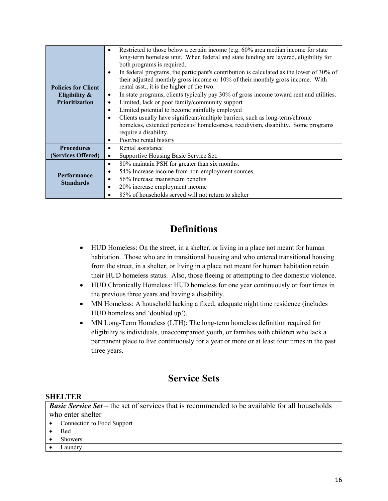|                                                                                      | Restricted to those below a certain income (e.g. 60% area median income for state<br>٠                                                                                                  |  |  |
|--------------------------------------------------------------------------------------|-----------------------------------------------------------------------------------------------------------------------------------------------------------------------------------------|--|--|
|                                                                                      | long-term homeless unit. When federal and state funding are layered, eligibility for<br>both programs is required.                                                                      |  |  |
|                                                                                      | In federal programs, the participant's contribution is calculated as the lower of 30% of<br>$\bullet$<br>their adjusted monthly gross income or 10% of their monthly gross income. With |  |  |
| <b>Policies for Client</b>                                                           | rental asst., it is the higher of the two.                                                                                                                                              |  |  |
| Eligibility &                                                                        | In state programs, clients typically pay 30% of gross income toward rent and utilities.<br>٠                                                                                            |  |  |
| <b>Prioritization</b><br>Limited, lack or poor family/community support<br>$\bullet$ |                                                                                                                                                                                         |  |  |
|                                                                                      | Limited potential to become gainfully employed<br>$\bullet$                                                                                                                             |  |  |
|                                                                                      | Clients usually have significant/multiple barriers, such as long-term/chronic<br>$\bullet$                                                                                              |  |  |
|                                                                                      | homeless, extended periods of homelessness, recidivism, disability. Some programs                                                                                                       |  |  |
|                                                                                      | require a disability.                                                                                                                                                                   |  |  |
|                                                                                      | Poor/no rental history<br>٠                                                                                                                                                             |  |  |
| <b>Procedures</b>                                                                    | Rental assistance<br>٠                                                                                                                                                                  |  |  |
| (Services Offered)                                                                   | Supportive Housing Basic Service Set.<br>$\bullet$                                                                                                                                      |  |  |
|                                                                                      | 80% maintain PSH for greater than six months.<br>$\bullet$                                                                                                                              |  |  |
|                                                                                      | 54% Increase income from non-employment sources.<br>٠                                                                                                                                   |  |  |
| <b>Performance</b>                                                                   | 56% Increase mainstream benefits                                                                                                                                                        |  |  |
| <b>Standards</b>                                                                     | 20% increase employment income<br>٠                                                                                                                                                     |  |  |
|                                                                                      | 85% of households served will not return to shelter                                                                                                                                     |  |  |

## **Definitions**

- HUD Homeless: On the street, in a shelter, or living in a place not meant for human habitation. Those who are in transitional housing and who entered transitional housing from the street, in a shelter, or living in a place not meant for human habitation retain their HUD homeless status. Also, those fleeing or attempting to flee domestic violence.
- HUD Chronically Homeless: HUD homeless for one year continuously or four times in the previous three years and having a disability.
- MN Homeless: A household lacking a fixed, adequate night time residence (includes HUD homeless and 'doubled up').
- MN Long-Term Homeless (LTH): The long-term homeless definition required for eligibility is individuals, unaccompanied youth, or families with children who lack a permanent place to live continuously for a year or more or at least four times in the past three years.

### **Service Sets**

#### **SHELTER**

*Basic Service Set* – the set of services that is recommended to be available for all households who enter shelter

- Connection to Food Support
- Bed
- Showers
- Laundry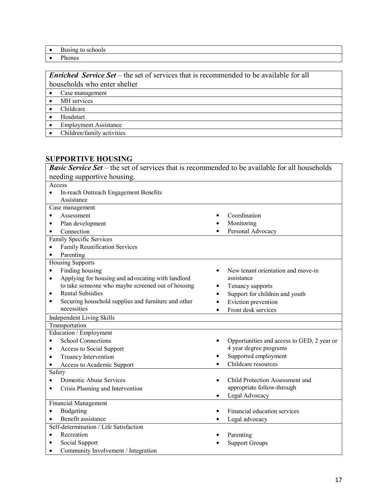- Busing to schools<br>• Phones
- Phones

*Enriched Service Set* – the set of services that is recommended to be available for all households who enter shelter

- Case management
- MH services
- Childcare
- Headstart
- Employment Assistance
- Children/family activities

#### **SUPPORTIVE HOUSING**

| <b>Basic Service Set</b> – the set of services that is recommended to be available for all households |                                              |  |  |
|-------------------------------------------------------------------------------------------------------|----------------------------------------------|--|--|
| needing supportive housing.                                                                           |                                              |  |  |
| Access                                                                                                |                                              |  |  |
| In-reach Outreach Engagement Benefits<br>$\bullet$                                                    |                                              |  |  |
| Assistance                                                                                            |                                              |  |  |
| Case management                                                                                       |                                              |  |  |
| Assessment                                                                                            | Coordination                                 |  |  |
| Plan development<br>$\bullet$                                                                         | Monitoring                                   |  |  |
| Connection<br>$\bullet$                                                                               | Personal Advocacy                            |  |  |
| Family Specific Services                                                                              |                                              |  |  |
| Family Reunification Services<br>$\bullet$                                                            |                                              |  |  |
| Parenting<br>$\bullet$                                                                                |                                              |  |  |
| <b>Housing Supports</b>                                                                               |                                              |  |  |
| Finding housing<br>$\bullet$                                                                          | New tenant orientation and move-in           |  |  |
| Applying for housing and advocating with landlord<br>$\bullet$                                        | assistance                                   |  |  |
| to take someone who maybe screened out of housing                                                     | Tenancy supports<br>٠                        |  |  |
| <b>Rental Subsidies</b><br>$\bullet$                                                                  | Support for children and youth<br>$\bullet$  |  |  |
| Securing household supplies and furniture and other<br>$\bullet$                                      | Eviction prevention<br>$\bullet$             |  |  |
| necessities                                                                                           | Front desk services<br>$\bullet$             |  |  |
| Independent Living Skills                                                                             |                                              |  |  |
| Transportation                                                                                        |                                              |  |  |
| Education / Employment                                                                                |                                              |  |  |
| <b>School Connections</b><br>$\bullet$                                                                | Opportunities and access to GED, 2 year or   |  |  |
| Access to Social Support<br>٠                                                                         | 4 year degree programs                       |  |  |
| Truancy Intervention<br>$\bullet$                                                                     | Supported employment                         |  |  |
| Access to Academic Support<br>$\bullet$                                                               | Childcare resources                          |  |  |
| Safety                                                                                                |                                              |  |  |
| Domestic Abuse Services                                                                               | Child Protection Assessment and<br>$\bullet$ |  |  |
| Crisis Planning and Intervention                                                                      | appropriate follow-through                   |  |  |
|                                                                                                       | Legal Advocacy                               |  |  |
| <b>Financial Management</b>                                                                           |                                              |  |  |
| Budgeting<br>$\bullet$                                                                                | Financial education services                 |  |  |
| Benefit assistance<br>$\bullet$                                                                       | Legal advocacy                               |  |  |
| Self-determination / Life Satisfaction                                                                |                                              |  |  |
| Recreation<br>$\bullet$                                                                               | Parenting                                    |  |  |
| Social Support<br>٠                                                                                   | <b>Support Groups</b>                        |  |  |
| Community Involvement / Integration<br>$\bullet$                                                      |                                              |  |  |